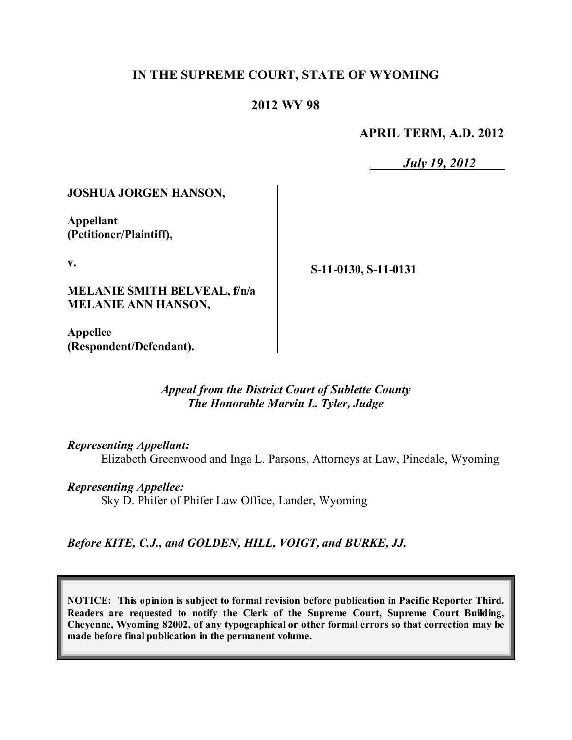#### **IN THE SUPREME COURT, STATE OF WYOMING**

#### **2012 WY 98**

**APRIL TERM, A.D. 2012**

*July 19, 2012*

#### **JOSHUA JORGEN HANSON,**

**Appellant (Petitioner/Plaintiff),**

**v.**

**MELANIE SMITH BELVEAL, f/n/a MELANIE ANN HANSON,**

**S-11-0130, S-11-0131**

**Appellee (Respondent/Defendant).**

#### *Appeal from the District Court of Sublette County The Honorable Marvin L. Tyler, Judge*

*Representing Appellant:*

Elizabeth Greenwood and Inga L. Parsons, Attorneys at Law, Pinedale, Wyoming

*Representing Appellee:* Sky D. Phifer of Phifer Law Office, Lander, Wyoming

*Before KITE, C.J., and GOLDEN, HILL, VOIGT, and BURKE, JJ.*

**NOTICE: This opinion is subject to formal revision before publication in Pacific Reporter Third. Readers are requested to notify the Clerk of the Supreme Court, Supreme Court Building, Cheyenne, Wyoming 82002, of any typographical or other formal errors so that correction may be made before final publication in the permanent volume.**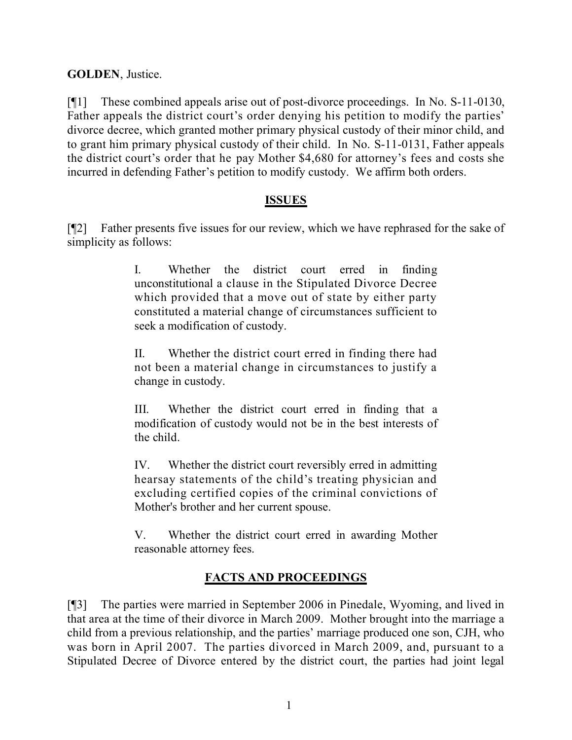**GOLDEN**, Justice.

[¶1] These combined appeals arise out of post-divorce proceedings. In No. S-11-0130, Father appeals the district court's order denying his petition to modify the parties' divorce decree, which granted mother primary physical custody of their minor child, and to grant him primary physical custody of their child. In No. S-11-0131, Father appeals the district court's order that he pay Mother \$4,680 for attorney's fees and costs she incurred in defending Father's petition to modify custody. We affirm both orders.

#### **ISSUES**

[¶2] Father presents five issues for our review, which we have rephrased for the sake of simplicity as follows:

> I. Whether the district court erred in finding unconstitutional a clause in the Stipulated Divorce Decree which provided that a move out of state by either party constituted a material change of circumstances sufficient to seek a modification of custody.

> II. Whether the district court erred in finding there had not been a material change in circumstances to justify a change in custody.

> III. Whether the district court erred in finding that a modification of custody would not be in the best interests of the child.

> IV. Whether the district court reversibly erred in admitting hearsay statements of the child's treating physician and excluding certified copies of the criminal convictions of Mother's brother and her current spouse.

> V. Whether the district court erred in awarding Mother reasonable attorney fees.

# **FACTS AND PROCEEDINGS**

[¶3] The parties were married in September 2006 in Pinedale, Wyoming, and lived in that area at the time of their divorce in March 2009. Mother brought into the marriage a child from a previous relationship, and the parties' marriage produced one son, CJH, who was born in April 2007. The parties divorced in March 2009, and, pursuant to a Stipulated Decree of Divorce entered by the district court, the parties had joint legal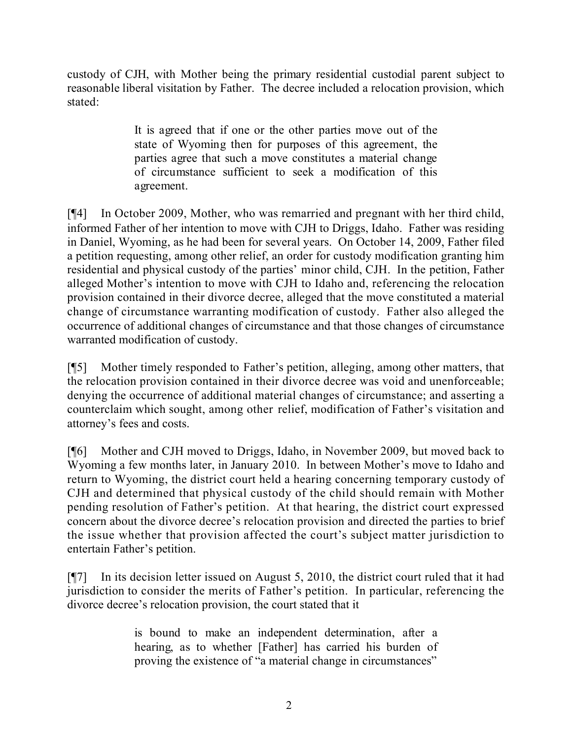custody of CJH, with Mother being the primary residential custodial parent subject to reasonable liberal visitation by Father. The decree included a relocation provision, which stated:

> It is agreed that if one or the other parties move out of the state of Wyoming then for purposes of this agreement, the parties agree that such a move constitutes a material change of circumstance sufficient to seek a modification of this agreement.

[¶4] In October 2009, Mother, who was remarried and pregnant with her third child, informed Father of her intention to move with CJH to Driggs, Idaho. Father was residing in Daniel, Wyoming, as he had been for several years. On October 14, 2009, Father filed a petition requesting, among other relief, an order for custody modification granting him residential and physical custody of the parties' minor child, CJH. In the petition, Father alleged Mother's intention to move with CJH to Idaho and, referencing the relocation provision contained in their divorce decree, alleged that the move constituted a material change of circumstance warranting modification of custody. Father also alleged the occurrence of additional changes of circumstance and that those changes of circumstance warranted modification of custody.

[¶5] Mother timely responded to Father's petition, alleging, among other matters, that the relocation provision contained in their divorce decree was void and unenforceable; denying the occurrence of additional material changes of circumstance; and asserting a counterclaim which sought, among other relief, modification of Father's visitation and attorney's fees and costs.

[¶6] Mother and CJH moved to Driggs, Idaho, in November 2009, but moved back to Wyoming a few months later, in January 2010. In between Mother's move to Idaho and return to Wyoming, the district court held a hearing concerning temporary custody of CJH and determined that physical custody of the child should remain with Mother pending resolution of Father's petition. At that hearing, the district court expressed concern about the divorce decree's relocation provision and directed the parties to brief the issue whether that provision affected the court's subject matter jurisdiction to entertain Father's petition.

[¶7] In its decision letter issued on August 5, 2010, the district court ruled that it had jurisdiction to consider the merits of Father's petition. In particular, referencing the divorce decree's relocation provision, the court stated that it

> is bound to make an independent determination, after a hearing, as to whether [Father] has carried his burden of proving the existence of "a material change in circumstances"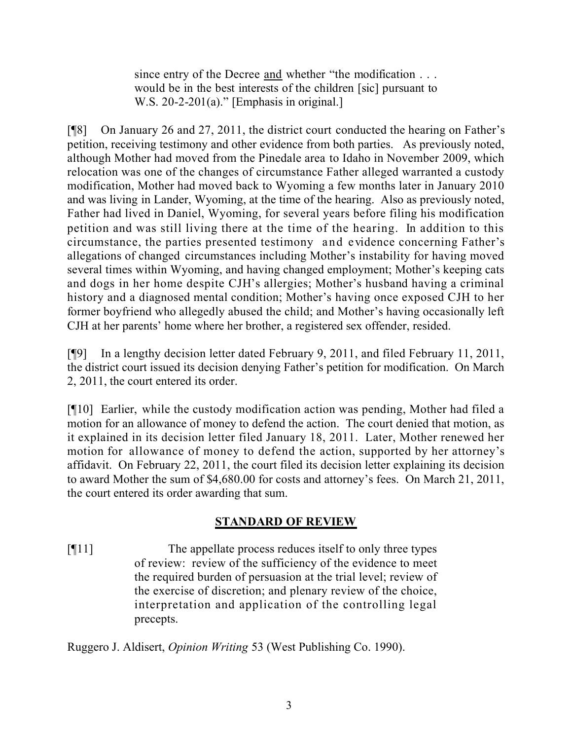since entry of the Decree and whether "the modification . . . would be in the best interests of the children [sic] pursuant to W.S.  $20-2-201(a)$ ." [Emphasis in original.]

[¶8] On January 26 and 27, 2011, the district court conducted the hearing on Father's petition, receiving testimony and other evidence from both parties. As previously noted, although Mother had moved from the Pinedale area to Idaho in November 2009, which relocation was one of the changes of circumstance Father alleged warranted a custody modification, Mother had moved back to Wyoming a few months later in January 2010 and was living in Lander, Wyoming, at the time of the hearing. Also as previously noted, Father had lived in Daniel, Wyoming, for several years before filing his modification petition and was still living there at the time of the hearing. In addition to this circumstance, the parties presented testimony and evidence concerning Father's allegations of changed circumstances including Mother's instability for having moved several times within Wyoming, and having changed employment; Mother's keeping cats and dogs in her home despite CJH's allergies; Mother's husband having a criminal history and a diagnosed mental condition; Mother's having once exposed CJH to her former boyfriend who allegedly abused the child; and Mother's having occasionally left CJH at her parents' home where her brother, a registered sex offender, resided.

[¶9] In a lengthy decision letter dated February 9, 2011, and filed February 11, 2011, the district court issued its decision denying Father's petition for modification. On March 2, 2011, the court entered its order.

[¶10] Earlier, while the custody modification action was pending, Mother had filed a motion for an allowance of money to defend the action. The court denied that motion, as it explained in its decision letter filed January 18, 2011. Later, Mother renewed her motion for allowance of money to defend the action, supported by her attorney's affidavit. On February 22, 2011, the court filed its decision letter explaining its decision to award Mother the sum of \$4,680.00 for costs and attorney's fees. On March 21, 2011, the court entered its order awarding that sum.

### **STANDARD OF REVIEW**

[¶11] The appellate process reduces itself to only three types of review: review of the sufficiency of the evidence to meet the required burden of persuasion at the trial level; review of the exercise of discretion; and plenary review of the choice, interpretation and application of the controlling legal precepts.

Ruggero J. Aldisert, *Opinion Writing* 53 (West Publishing Co. 1990).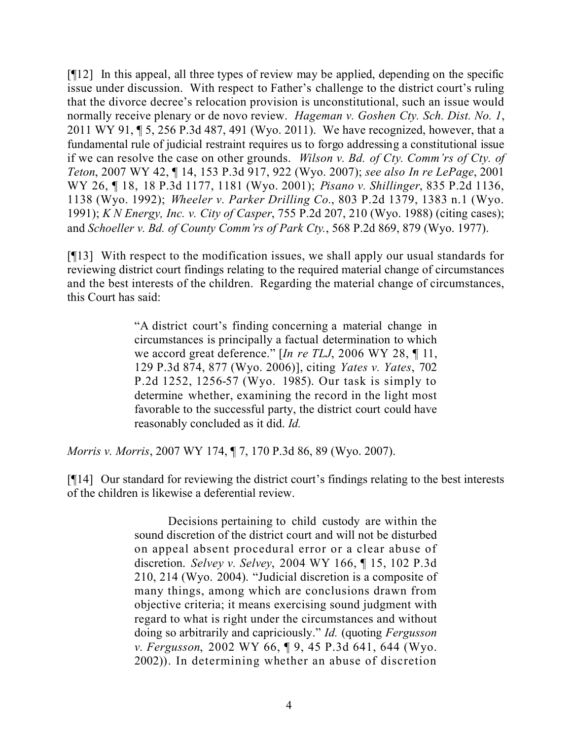[¶12] In this appeal, all three types of review may be applied, depending on the specific issue under discussion. With respect to Father's challenge to the district court's ruling that the divorce decree's relocation provision is unconstitutional, such an issue would normally receive plenary or de novo review. *Hageman v. Goshen Cty. Sch. Dist. No. 1*, 2011 WY 91, ¶ 5, 256 P.3d 487, 491 (Wyo. 2011). We have recognized, however, that a fundamental rule of judicial restraint requires us to forgo addressing a constitutional issue if we can resolve the case on other grounds. *Wilson v. Bd. of Cty. Comm'rs of Cty. of Teton*, 2007 WY 42, ¶ 14, 153 P.3d 917, 922 (Wyo. 2007); *see also In re LePage*, 2001 WY 26, ¶ 18, 18 P.3d 1177, 1181 (Wyo. 2001); *Pisano v. Shillinger*, 835 P.2d 1136, 1138 (Wyo. 1992); *Wheeler v. Parker Drilling Co.*, 803 P.2d 1379, 1383 n.1 (Wyo. 1991); *K N Energy, Inc. v. City of Casper*, 755 P.2d 207, 210 (Wyo. 1988) (citing cases); and *Schoeller v. Bd. of County Comm'rs of Park Cty.*, 568 P.2d 869, 879 (Wyo. 1977).

[¶13] With respect to the modification issues, we shall apply our usual standards for reviewing district court findings relating to the required material change of circumstances and the best interests of the children. Regarding the material change of circumstances, this Court has said:

> "A district court's finding concerning a material change in circumstances is principally a factual determination to which we accord great deference." [*In re TLJ*, 2006 WY 28, ¶ 11, 129 P.3d 874, 877 (Wyo. 2006)], citing *Yates v. Yates*, 702 P.2d 1252, 1256-57 (Wyo. 1985). Our task is simply to determine whether, examining the record in the light most favorable to the successful party, the district court could have reasonably concluded as it did. *Id.*

*Morris v. Morris*, 2007 WY 174, ¶ 7, 170 P.3d 86, 89 (Wyo. 2007).

[¶14] Our standard for reviewing the district court's findings relating to the best interests of the children is likewise a deferential review.

> Decisions pertaining to child custody are within the sound discretion of the district court and will not be disturbed on appeal absent procedural error or a clear abuse of discretion. *Selvey v. Selvey*, 2004 WY 166, ¶ 15, 102 P.3d 210, 214 (Wyo. 2004). "Judicial discretion is a composite of many things, among which are conclusions drawn from objective criteria; it means exercising sound judgment with regard to what is right under the circumstances and without doing so arbitrarily and capriciously." *Id.* (quoting *Fergusson v. Fergusson*, 2002 WY 66, ¶ 9, 45 P.3d 641, 644 (Wyo. 2002)). In determining whether an abuse of discretion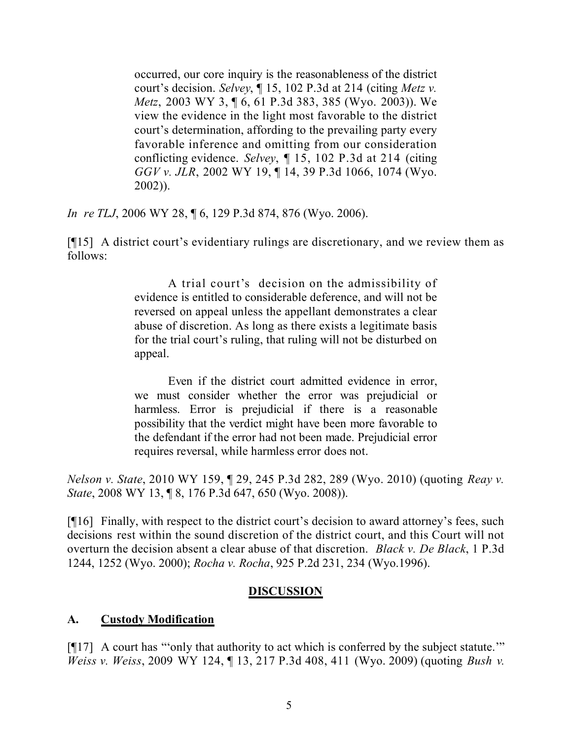occurred, our core inquiry is the reasonableness of the district court's decision. *Selvey*, ¶ 15, 102 P.3d at 214 (citing *Metz v. Metz*, 2003 WY 3, ¶ 6, 61 P.3d 383, 385 (Wyo. 2003)). We view the evidence in the light most favorable to the district court's determination, affording to the prevailing party every favorable inference and omitting from our consideration conflicting evidence. *Selvey*, ¶ 15, 102 P.3d at 214 (citing *GGV v. JLR*, 2002 WY 19, ¶ 14, 39 P.3d 1066, 1074 (Wyo. 2002)).

*In re TLJ*, 2006 WY 28, ¶ 6, 129 P.3d 874, 876 (Wyo. 2006).

[¶15] A district court's evidentiary rulings are discretionary, and we review them as follows:

> A trial court's decision on the admissibility of evidence is entitled to considerable deference, and will not be reversed on appeal unless the appellant demonstrates a clear abuse of discretion. As long as there exists a legitimate basis for the trial court's ruling, that ruling will not be disturbed on appeal.

> Even if the district court admitted evidence in error, we must consider whether the error was prejudicial or harmless. Error is prejudicial if there is a reasonable possibility that the verdict might have been more favorable to the defendant if the error had not been made. Prejudicial error requires reversal, while harmless error does not.

*Nelson v. State*, 2010 WY 159, ¶ 29, 245 P.3d 282, 289 (Wyo. 2010) (quoting *Reay v. State*, 2008 WY 13, ¶ 8, 176 P.3d 647, 650 (Wyo. 2008)).

[¶16] Finally, with respect to the district court's decision to award attorney's fees, such decisions rest within the sound discretion of the district court, and this Court will not overturn the decision absent a clear abuse of that discretion. *Black v. De Black*, 1 P.3d 1244, 1252 (Wyo. 2000); *Rocha v. Rocha*, 925 P.2d 231, 234 (Wyo.1996).

#### **DISCUSSION**

### **A. Custody Modification**

[¶17] A court has "'only that authority to act which is conferred by the subject statute.'" *Weiss v. Weiss*, 2009 WY 124, ¶ 13, 217 P.3d 408, 411 (Wyo. 2009) (quoting *Bush v.*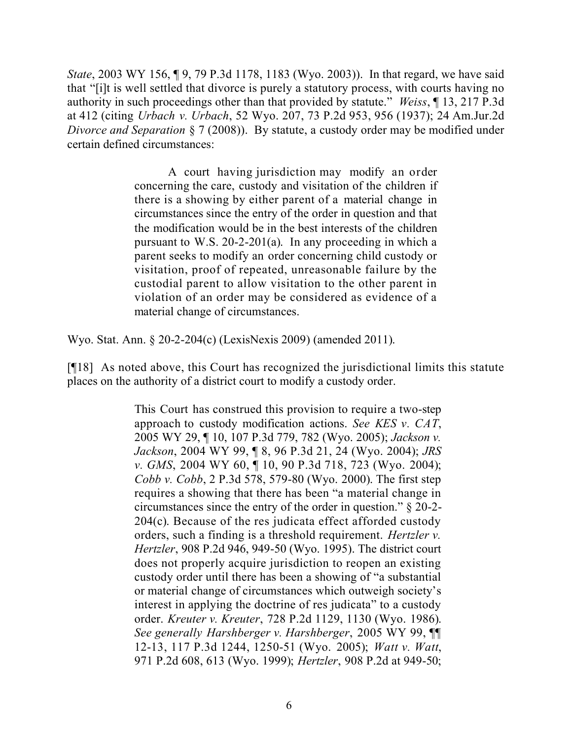*State*, 2003 WY 156, ¶ 9, 79 P.3d 1178, 1183 (Wyo. 2003)). In that regard, we have said that "[i]t is well settled that divorce is purely a statutory process, with courts having no authority in such proceedings other than that provided by statute." *Weiss*, ¶ 13, 217 P.3d at 412 (citing *Urbach v. Urbach*, 52 Wyo. 207, 73 P.2d 953, 956 (1937); 24 Am.Jur.2d *Divorce and Separation* § 7 (2008)). By statute, a custody order may be modified under certain defined circumstances:

> A court having jurisdiction may modify an order concerning the care, custody and visitation of the children if there is a showing by either parent of a material change in circumstances since the entry of the order in question and that the modification would be in the best interests of the children pursuant to W.S. 20-2-201(a). In any proceeding in which a parent seeks to modify an order concerning child custody or visitation, proof of repeated, unreasonable failure by the custodial parent to allow visitation to the other parent in violation of an order may be considered as evidence of a material change of circumstances.

Wyo. Stat. Ann. § 20-2-204(c) (LexisNexis 2009) (amended 2011).

[¶18] As noted above, this Court has recognized the jurisdictional limits this statute places on the authority of a district court to modify a custody order.

> This Court has construed this provision to require a two-step approach to custody modification actions. *See KES v. CAT*, 2005 WY 29, ¶ 10, 107 P.3d 779, 782 (Wyo. 2005); *Jackson v. Jackson*, 2004 WY 99, ¶ 8, 96 P.3d 21, 24 (Wyo. 2004); *JRS v. GMS*, 2004 WY 60, ¶ 10, 90 P.3d 718, 723 (Wyo. 2004); *Cobb v. Cobb*, 2 P.3d 578, 579-80 (Wyo. 2000). The first step requires a showing that there has been "a material change in circumstances since the entry of the order in question." § 20-2- 204(c). Because of the res judicata effect afforded custody orders, such a finding is a threshold requirement. *Hertzler v. Hertzler*, 908 P.2d 946, 949-50 (Wyo. 1995). The district court does not properly acquire jurisdiction to reopen an existing custody order until there has been a showing of "a substantial or material change of circumstances which outweigh society's interest in applying the doctrine of res judicata" to a custody order. *Kreuter v. Kreuter*, 728 P.2d 1129, 1130 (Wyo. 1986). *See generally Harshberger v. Harshberger*, 2005 WY 99, ¶¶ 12-13, 117 P.3d 1244, 1250-51 (Wyo. 2005); *Watt v. Watt*, 971 P.2d 608, 613 (Wyo. 1999); *Hertzler*, 908 P.2d at 949-50;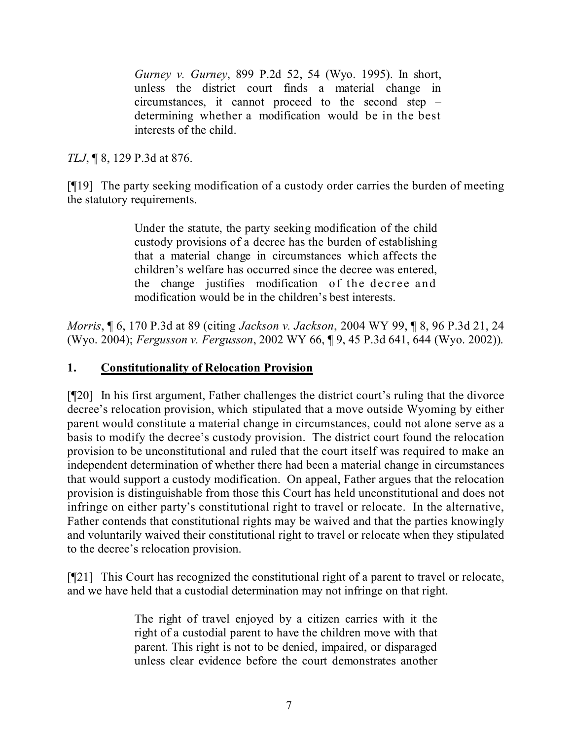*Gurney v. Gurney*, 899 P.2d 52, 54 (Wyo. 1995). In short, unless the district court finds a material change in circumstances, it cannot proceed to the second step – determining whether a modification would be in the best interests of the child.

*TLJ*, ¶ 8, 129 P.3d at 876.

[¶19] The party seeking modification of a custody order carries the burden of meeting the statutory requirements.

> Under the statute, the party seeking modification of the child custody provisions of a decree has the burden of establishing that a material change in circumstances which affects the children's welfare has occurred since the decree was entered, the change justifies modification of the decree and modification would be in the children's best interests.

*Morris*, ¶ 6, 170 P.3d at 89 (citing *Jackson v. Jackson*, 2004 WY 99, ¶ 8, 96 P.3d 21, 24 (Wyo. 2004); *Fergusson v. Fergusson*, 2002 WY 66, ¶ 9, 45 P.3d 641, 644 (Wyo. 2002)).

#### **1. Constitutionality of Relocation Provision**

[¶20] In his first argument, Father challenges the district court's ruling that the divorce decree's relocation provision, which stipulated that a move outside Wyoming by either parent would constitute a material change in circumstances, could not alone serve as a basis to modify the decree's custody provision. The district court found the relocation provision to be unconstitutional and ruled that the court itself was required to make an independent determination of whether there had been a material change in circumstances that would support a custody modification. On appeal, Father argues that the relocation provision is distinguishable from those this Court has held unconstitutional and does not infringe on either party's constitutional right to travel or relocate. In the alternative, Father contends that constitutional rights may be waived and that the parties knowingly and voluntarily waived their constitutional right to travel or relocate when they stipulated to the decree's relocation provision.

[¶21] This Court has recognized the constitutional right of a parent to travel or relocate, and we have held that a custodial determination may not infringe on that right.

> The right of travel enjoyed by a citizen carries with it the right of a custodial parent to have the children move with that parent. This right is not to be denied, impaired, or disparaged unless clear evidence before the court demonstrates another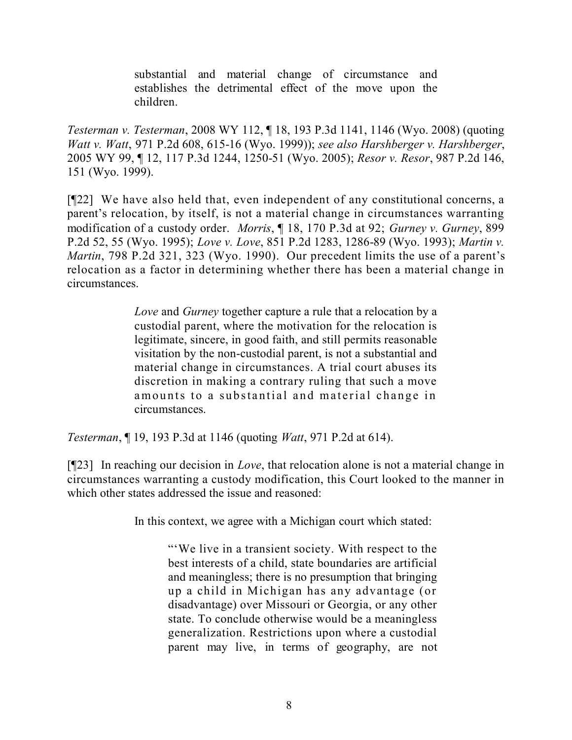substantial and material change of circumstance and establishes the detrimental effect of the move upon the children.

*Testerman v. Testerman*, 2008 WY 112, ¶ 18, 193 P.3d 1141, 1146 (Wyo. 2008) (quoting *Watt v. Watt*, 971 P.2d 608, 615-16 (Wyo. 1999)); *see also Harshberger v. Harshberger*, 2005 WY 99, ¶ 12, 117 P.3d 1244, 1250-51 (Wyo. 2005); *Resor v. Resor*, 987 P.2d 146, 151 (Wyo. 1999).

[¶22] We have also held that, even independent of any constitutional concerns, a parent's relocation, by itself, is not a material change in circumstances warranting modification of a custody order. *Morris*, ¶ 18, 170 P.3d at 92; *Gurney v. Gurney*, 899 P.2d 52, 55 (Wyo. 1995); *Love v. Love*, 851 P.2d 1283, 1286-89 (Wyo. 1993); *Martin v. Martin*, 798 P.2d 321, 323 (Wyo. 1990). Our precedent limits the use of a parent's relocation as a factor in determining whether there has been a material change in circumstances.

> *Love* and *Gurney* together capture a rule that a relocation by a custodial parent, where the motivation for the relocation is legitimate, sincere, in good faith, and still permits reasonable visitation by the non-custodial parent, is not a substantial and material change in circumstances. A trial court abuses its discretion in making a contrary ruling that such a move amounts to a substantial and material change in circumstances.

*Testerman*, ¶ 19, 193 P.3d at 1146 (quoting *Watt*, 971 P.2d at 614).

[¶23] In reaching our decision in *Love*, that relocation alone is not a material change in circumstances warranting a custody modification, this Court looked to the manner in which other states addressed the issue and reasoned:

In this context, we agree with a Michigan court which stated:

"'We live in a transient society. With respect to the best interests of a child, state boundaries are artificial and meaningless; there is no presumption that bringing up a child in Michigan has any advantage (or disadvantage) over Missouri or Georgia, or any other state. To conclude otherwise would be a meaningless generalization. Restrictions upon where a custodial parent may live, in terms of geography, are not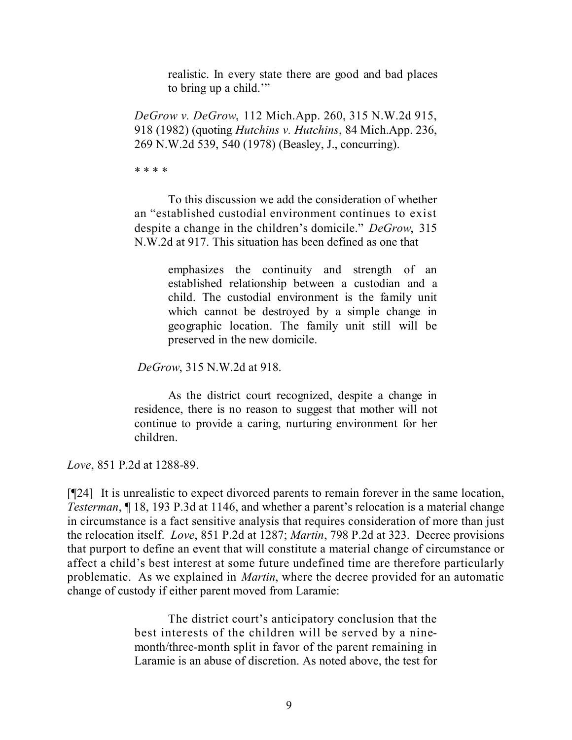realistic. In every state there are good and bad places to bring up a child.'"

*DeGrow v. DeGrow*, 112 Mich.App. 260, 315 N.W.2d 915, 918 (1982) (quoting *Hutchins v. Hutchins*, 84 Mich.App. 236, 269 N.W.2d 539, 540 (1978) (Beasley, J., concurring).

\* \* \* \*

To this discussion we add the consideration of whether an "established custodial environment continues to exist despite a change in the children's domicile." *DeGrow*, 315 N.W.2d at 917. This situation has been defined as one that

> emphasizes the continuity and strength of an established relationship between a custodian and a child. The custodial environment is the family unit which cannot be destroyed by a simple change in geographic location. The family unit still will be preserved in the new domicile.

*DeGrow*, 315 N.W.2d at 918.

As the district court recognized, despite a change in residence, there is no reason to suggest that mother will not continue to provide a caring, nurturing environment for her children.

*Love*, 851 P.2d at 1288-89.

[¶24] It is unrealistic to expect divorced parents to remain forever in the same location, *Testerman*, ¶ 18, 193 P.3d at 1146, and whether a parent's relocation is a material change in circumstance is a fact sensitive analysis that requires consideration of more than just the relocation itself. *Love*, 851 P.2d at 1287; *Martin*, 798 P.2d at 323. Decree provisions that purport to define an event that will constitute a material change of circumstance or affect a child's best interest at some future undefined time are therefore particularly problematic. As we explained in *Martin*, where the decree provided for an automatic change of custody if either parent moved from Laramie:

> The district court's anticipatory conclusion that the best interests of the children will be served by a ninemonth/three-month split in favor of the parent remaining in Laramie is an abuse of discretion. As noted above, the test for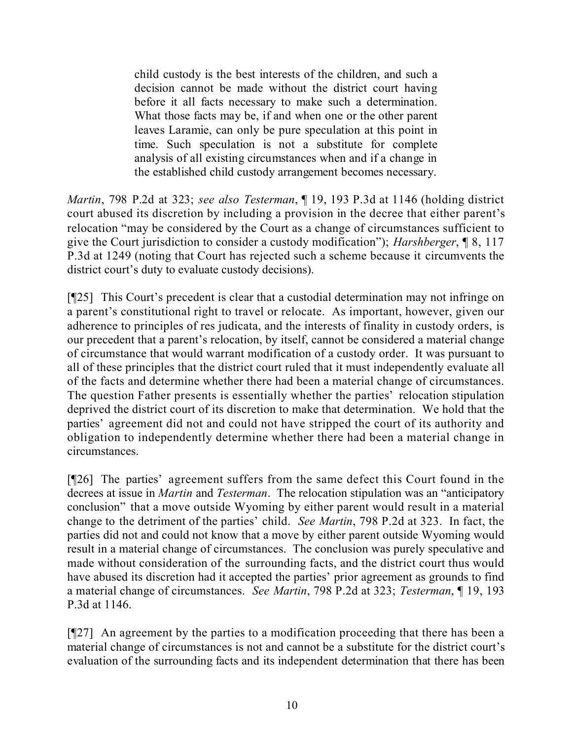child custody is the best interests of the children, and such a decision cannot be made without the district court having before it all facts necessary to make such a determination. What those facts may be, if and when one or the other parent leaves Laramie, can only be pure speculation at this point in time. Such speculation is not a substitute for complete analysis of all existing circumstances when and if a change in the established child custody arrangement becomes necessary.

*Martin*, 798 P.2d at 323; *see also Testerman*, ¶ 19, 193 P.3d at 1146 (holding district court abused its discretion by including a provision in the decree that either parent's relocation "may be considered by the Court as a change of circumstances sufficient to give the Court jurisdiction to consider a custody modification"); *Harshberger*, ¶ 8, 117 P.3d at 1249 (noting that Court has rejected such a scheme because it circumvents the district court's duty to evaluate custody decisions).

[¶25] This Court's precedent is clear that a custodial determination may not infringe on a parent's constitutional right to travel or relocate. As important, however, given our adherence to principles of res judicata, and the interests of finality in custody orders, is our precedent that a parent's relocation, by itself, cannot be considered a material change of circumstance that would warrant modification of a custody order. It was pursuant to all of these principles that the district court ruled that it must independently evaluate all of the facts and determine whether there had been a material change of circumstances. The question Father presents is essentially whether the parties' relocation stipulation deprived the district court of its discretion to make that determination. We hold that the parties' agreement did not and could not have stripped the court of its authority and obligation to independently determine whether there had been a material change in circumstances.

[¶26] The parties' agreement suffers from the same defect this Court found in the decrees at issue in *Martin* and *Testerman*. The relocation stipulation was an "anticipatory conclusion" that a move outside Wyoming by either parent would result in a material change to the detriment of the parties' child. *See Martin*, 798 P.2d at 323. In fact, the parties did not and could not know that a move by either parent outside Wyoming would result in a material change of circumstances. The conclusion was purely speculative and made without consideration of the surrounding facts, and the district court thus would have abused its discretion had it accepted the parties' prior agreement as grounds to find a material change of circumstances. *See Martin*, 798 P.2d at 323; *Testerman*, ¶ 19, 193 P.3d at 1146.

[¶27] An agreement by the parties to a modification proceeding that there has been a material change of circumstances is not and cannot be a substitute for the district court's evaluation of the surrounding facts and its independent determination that there has been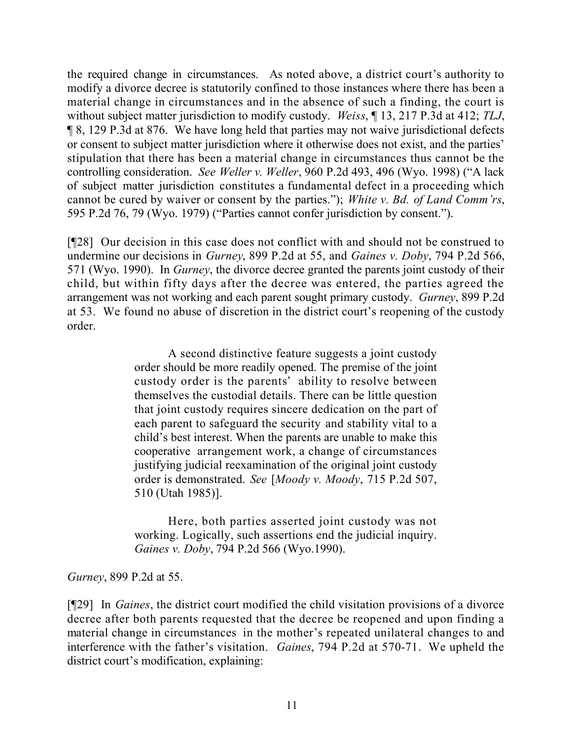the required change in circumstances. As noted above, a district court's authority to modify a divorce decree is statutorily confined to those instances where there has been a material change in circumstances and in the absence of such a finding, the court is without subject matter jurisdiction to modify custody. *Weiss*, ¶ 13, 217 P.3d at 412; *TLJ*, ¶ 8, 129 P.3d at 876. We have long held that parties may not waive jurisdictional defects or consent to subject matter jurisdiction where it otherwise does not exist, and the parties' stipulation that there has been a material change in circumstances thus cannot be the controlling consideration. *See Weller v. Weller*, 960 P.2d 493, 496 (Wyo. 1998) ("A lack of subject matter jurisdiction constitutes a fundamental defect in a proceeding which cannot be cured by waiver or consent by the parties."); *White v. Bd. of Land Comm'rs*, 595 P.2d 76, 79 (Wyo. 1979) ("Parties cannot confer jurisdiction by consent.").

[¶28] Our decision in this case does not conflict with and should not be construed to undermine our decisions in *Gurney*, 899 P.2d at 55, and *Gaines v. Doby*, 794 P.2d 566, 571 (Wyo. 1990). In *Gurney*, the divorce decree granted the parents joint custody of their child, but within fifty days after the decree was entered, the parties agreed the arrangement was not working and each parent sought primary custody. *Gurney*, 899 P.2d at 53. We found no abuse of discretion in the district court's reopening of the custody order.

> A second distinctive feature suggests a joint custody order should be more readily opened. The premise of the joint custody order is the parents' ability to resolve between themselves the custodial details. There can be little question that joint custody requires sincere dedication on the part of each parent to safeguard the security and stability vital to a child's best interest. When the parents are unable to make this cooperative arrangement work, a change of circumstances justifying judicial reexamination of the original joint custody order is demonstrated. *See* [*Moody v. Moody*, 715 P.2d 507, 510 (Utah 1985)].

> Here, both parties asserted joint custody was not working. Logically, such assertions end the judicial inquiry. *Gaines v. Doby*, 794 P.2d 566 (Wyo.1990).

*Gurney*, 899 P.2d at 55.

[¶29] In *Gaines*, the district court modified the child visitation provisions of a divorce decree after both parents requested that the decree be reopened and upon finding a material change in circumstances in the mother's repeated unilateral changes to and interference with the father's visitation. *Gaines*, 794 P.2d at 570-71. We upheld the district court's modification, explaining: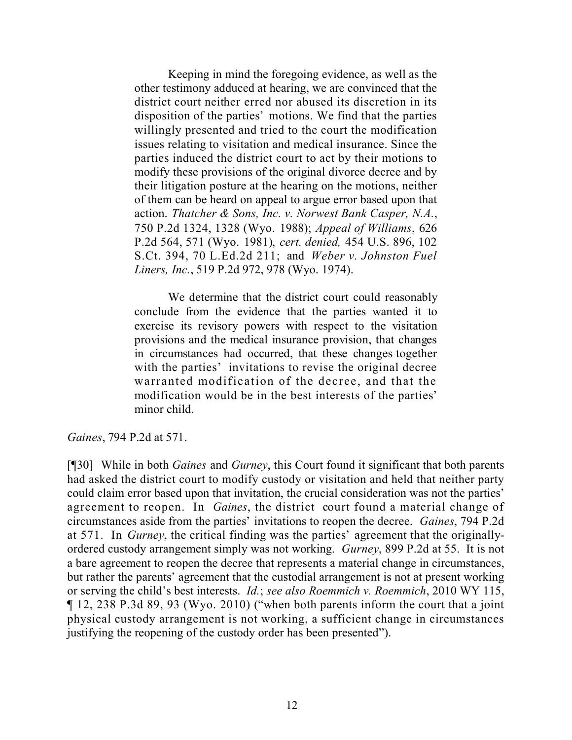Keeping in mind the foregoing evidence, as well as the other testimony adduced at hearing, we are convinced that the district court neither erred nor abused its discretion in its disposition of the parties' motions. We find that the parties willingly presented and tried to the court the modification issues relating to visitation and medical insurance. Since the parties induced the district court to act by their motions to modify these provisions of the original divorce decree and by their litigation posture at the hearing on the motions, neither of them can be heard on appeal to argue error based upon that action. *Thatcher & Sons, Inc. v. Norwest Bank Casper, N.A.*, 750 P.2d 1324, 1328 (Wyo. 1988); *Appeal of Williams*, 626 P.2d 564, 571 (Wyo. 1981), *cert. denied,* 454 U.S. 896, 102 S.Ct. 394, 70 L.Ed.2d 211; and *Weber v. Johnston Fuel Liners, Inc.*, 519 P.2d 972, 978 (Wyo. 1974).

We determine that the district court could reasonably conclude from the evidence that the parties wanted it to exercise its revisory powers with respect to the visitation provisions and the medical insurance provision, that changes in circumstances had occurred, that these changes together with the parties' invitations to revise the original decree warranted modification of the decree, and that the modification would be in the best interests of the parties' minor child.

*Gaines*, 794 P.2d at 571.

[¶30] While in both *Gaines* and *Gurney*, this Court found it significant that both parents had asked the district court to modify custody or visitation and held that neither party could claim error based upon that invitation, the crucial consideration was not the parties' agreement to reopen. In *Gaines*, the district court found a material change of circumstances aside from the parties' invitations to reopen the decree. *Gaines*, 794 P.2d at 571. In *Gurney*, the critical finding was the parties' agreement that the originallyordered custody arrangement simply was not working. *Gurney*, 899 P.2d at 55. It is not a bare agreement to reopen the decree that represents a material change in circumstances, but rather the parents' agreement that the custodial arrangement is not at present working or serving the child's best interests. *Id.*; *see also Roemmich v. Roemmich*, 2010 WY 115, ¶ 12, 238 P.3d 89, 93 (Wyo. 2010) ("when both parents inform the court that a joint physical custody arrangement is not working, a sufficient change in circumstances justifying the reopening of the custody order has been presented").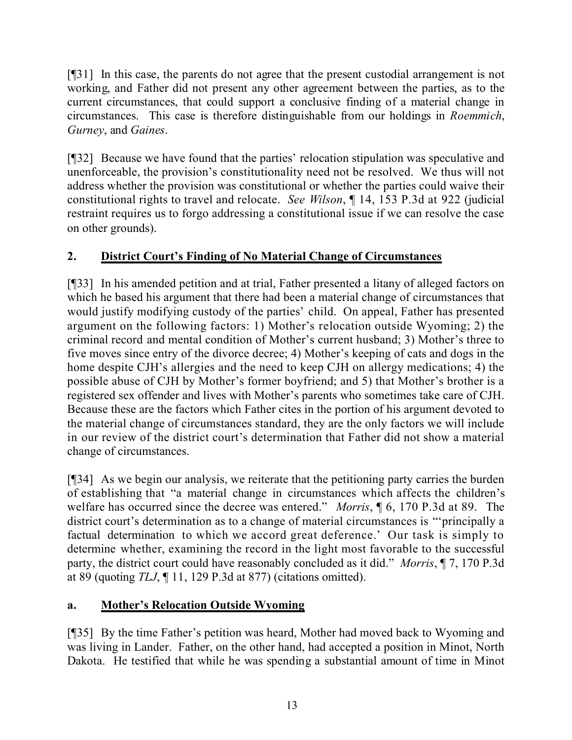[¶31] In this case, the parents do not agree that the present custodial arrangement is not working, and Father did not present any other agreement between the parties, as to the current circumstances, that could support a conclusive finding of a material change in circumstances. This case is therefore distinguishable from our holdings in *Roemmich*, *Gurney*, and *Gaines*.

[¶32] Because we have found that the parties' relocation stipulation was speculative and unenforceable, the provision's constitutionality need not be resolved. We thus will not address whether the provision was constitutional or whether the parties could waive their constitutional rights to travel and relocate. *See Wilson*, ¶ 14, 153 P.3d at 922 (judicial restraint requires us to forgo addressing a constitutional issue if we can resolve the case on other grounds).

## **2. District Court's Finding of No Material Change of Circumstances**

[¶33] In his amended petition and at trial, Father presented a litany of alleged factors on which he based his argument that there had been a material change of circumstances that would justify modifying custody of the parties' child. On appeal, Father has presented argument on the following factors: 1) Mother's relocation outside Wyoming; 2) the criminal record and mental condition of Mother's current husband; 3) Mother's three to five moves since entry of the divorce decree; 4) Mother's keeping of cats and dogs in the home despite CJH's allergies and the need to keep CJH on allergy medications; 4) the possible abuse of CJH by Mother's former boyfriend; and 5) that Mother's brother is a registered sex offender and lives with Mother's parents who sometimes take care of CJH. Because these are the factors which Father cites in the portion of his argument devoted to the material change of circumstances standard, they are the only factors we will include in our review of the district court's determination that Father did not show a material change of circumstances.

[¶34] As we begin our analysis, we reiterate that the petitioning party carries the burden of establishing that "a material change in circumstances which affects the children's welfare has occurred since the decree was entered." *Morris*, ¶ 6, 170 P.3d at 89. The district court's determination as to a change of material circumstances is "'principally a factual determination to which we accord great deference.' Our task is simply to determine whether, examining the record in the light most favorable to the successful party, the district court could have reasonably concluded as it did." *Morris*, ¶ 7, 170 P.3d at 89 (quoting *TLJ*, ¶ 11, 129 P.3d at 877) (citations omitted).

## **a. Mother's Relocation Outside Wyoming**

[¶35] By the time Father's petition was heard, Mother had moved back to Wyoming and was living in Lander. Father, on the other hand, had accepted a position in Minot, North Dakota. He testified that while he was spending a substantial amount of time in Minot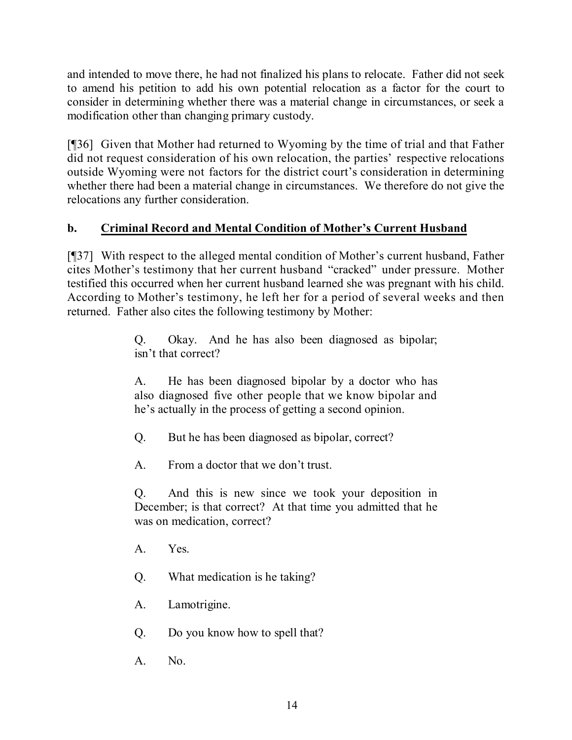and intended to move there, he had not finalized his plans to relocate. Father did not seek to amend his petition to add his own potential relocation as a factor for the court to consider in determining whether there was a material change in circumstances, or seek a modification other than changing primary custody.

[¶36] Given that Mother had returned to Wyoming by the time of trial and that Father did not request consideration of his own relocation, the parties' respective relocations outside Wyoming were not factors for the district court's consideration in determining whether there had been a material change in circumstances. We therefore do not give the relocations any further consideration.

## **b. Criminal Record and Mental Condition of Mother's Current Husband**

[¶37] With respect to the alleged mental condition of Mother's current husband, Father cites Mother's testimony that her current husband "cracked" under pressure. Mother testified this occurred when her current husband learned she was pregnant with his child. According to Mother's testimony, he left her for a period of several weeks and then returned. Father also cites the following testimony by Mother:

> Q. Okay. And he has also been diagnosed as bipolar; isn't that correct?

> A. He has been diagnosed bipolar by a doctor who has also diagnosed five other people that we know bipolar and he's actually in the process of getting a second opinion.

Q. But he has been diagnosed as bipolar, correct?

A. From a doctor that we don't trust.

Q. And this is new since we took your deposition in December; is that correct? At that time you admitted that he was on medication, correct?

A. Yes.

Q. What medication is he taking?

A. Lamotrigine.

Q. Do you know how to spell that?

A. No.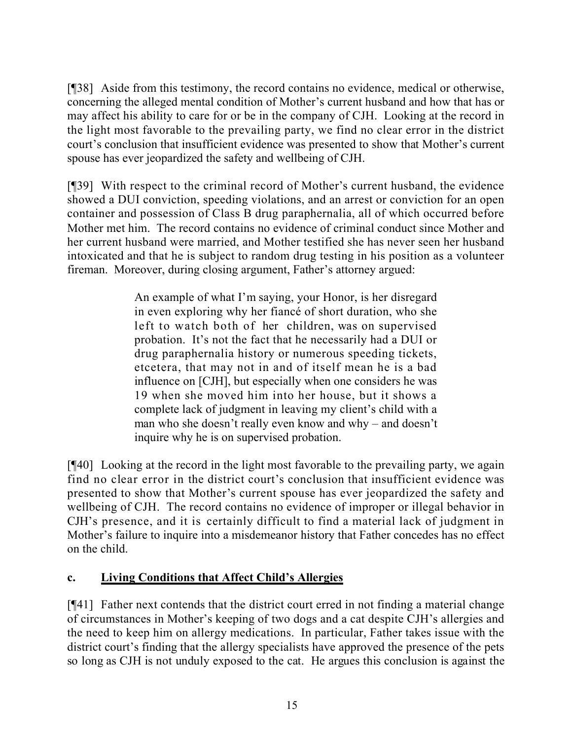[¶38] Aside from this testimony, the record contains no evidence, medical or otherwise, concerning the alleged mental condition of Mother's current husband and how that has or may affect his ability to care for or be in the company of CJH. Looking at the record in the light most favorable to the prevailing party, we find no clear error in the district court's conclusion that insufficient evidence was presented to show that Mother's current spouse has ever jeopardized the safety and wellbeing of CJH.

[¶39] With respect to the criminal record of Mother's current husband, the evidence showed a DUI conviction, speeding violations, and an arrest or conviction for an open container and possession of Class B drug paraphernalia, all of which occurred before Mother met him. The record contains no evidence of criminal conduct since Mother and her current husband were married, and Mother testified she has never seen her husband intoxicated and that he is subject to random drug testing in his position as a volunteer fireman. Moreover, during closing argument, Father's attorney argued:

> An example of what I'm saying, your Honor, is her disregard in even exploring why her fiancé of short duration, who she left to watch both of her children, was on supervised probation. It's not the fact that he necessarily had a DUI or drug paraphernalia history or numerous speeding tickets, etcetera, that may not in and of itself mean he is a bad influence on [CJH], but especially when one considers he was 19 when she moved him into her house, but it shows a complete lack of judgment in leaving my client's child with a man who she doesn't really even know and why – and doesn't inquire why he is on supervised probation.

[¶40] Looking at the record in the light most favorable to the prevailing party, we again find no clear error in the district court's conclusion that insufficient evidence was presented to show that Mother's current spouse has ever jeopardized the safety and wellbeing of CJH. The record contains no evidence of improper or illegal behavior in CJH's presence, and it is certainly difficult to find a material lack of judgment in Mother's failure to inquire into a misdemeanor history that Father concedes has no effect on the child.

## **c. Living Conditions that Affect Child's Allergies**

[¶41] Father next contends that the district court erred in not finding a material change of circumstances in Mother's keeping of two dogs and a cat despite CJH's allergies and the need to keep him on allergy medications. In particular, Father takes issue with the district court's finding that the allergy specialists have approved the presence of the pets so long as CJH is not unduly exposed to the cat. He argues this conclusion is against the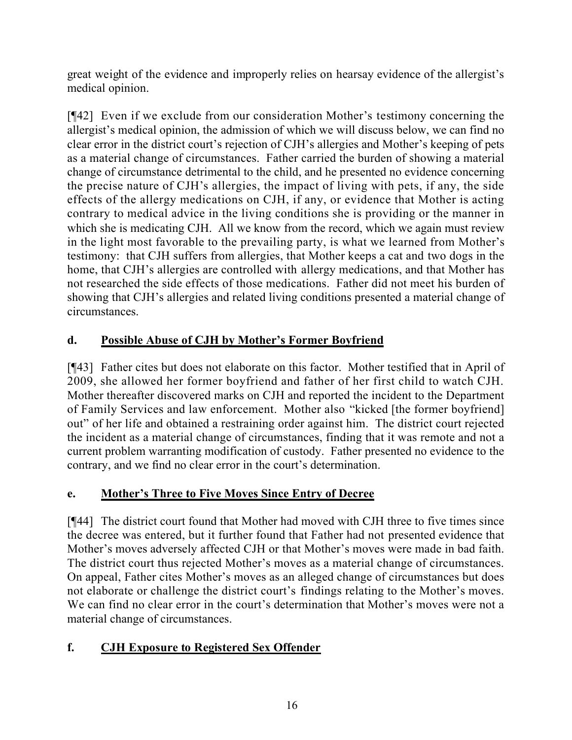great weight of the evidence and improperly relies on hearsay evidence of the allergist's medical opinion.

[¶42] Even if we exclude from our consideration Mother's testimony concerning the allergist's medical opinion, the admission of which we will discuss below, we can find no clear error in the district court's rejection of CJH's allergies and Mother's keeping of pets as a material change of circumstances. Father carried the burden of showing a material change of circumstance detrimental to the child, and he presented no evidence concerning the precise nature of CJH's allergies, the impact of living with pets, if any, the side effects of the allergy medications on CJH, if any, or evidence that Mother is acting contrary to medical advice in the living conditions she is providing or the manner in which she is medicating CJH. All we know from the record, which we again must review in the light most favorable to the prevailing party, is what we learned from Mother's testimony: that CJH suffers from allergies, that Mother keeps a cat and two dogs in the home, that CJH's allergies are controlled with allergy medications, and that Mother has not researched the side effects of those medications. Father did not meet his burden of showing that CJH's allergies and related living conditions presented a material change of circumstances.

## **d. Possible Abuse of CJH by Mother's Former Boyfriend**

[¶43] Father cites but does not elaborate on this factor. Mother testified that in April of 2009, she allowed her former boyfriend and father of her first child to watch CJH. Mother thereafter discovered marks on CJH and reported the incident to the Department of Family Services and law enforcement. Mother also "kicked [the former boyfriend] out" of her life and obtained a restraining order against him. The district court rejected the incident as a material change of circumstances, finding that it was remote and not a current problem warranting modification of custody. Father presented no evidence to the contrary, and we find no clear error in the court's determination.

## **e. Mother's Three to Five Moves Since Entry of Decree**

[¶44] The district court found that Mother had moved with CJH three to five times since the decree was entered, but it further found that Father had not presented evidence that Mother's moves adversely affected CJH or that Mother's moves were made in bad faith. The district court thus rejected Mother's moves as a material change of circumstances. On appeal, Father cites Mother's moves as an alleged change of circumstances but does not elaborate or challenge the district court's findings relating to the Mother's moves. We can find no clear error in the court's determination that Mother's moves were not a material change of circumstances.

# **f. CJH Exposure to Registered Sex Offender**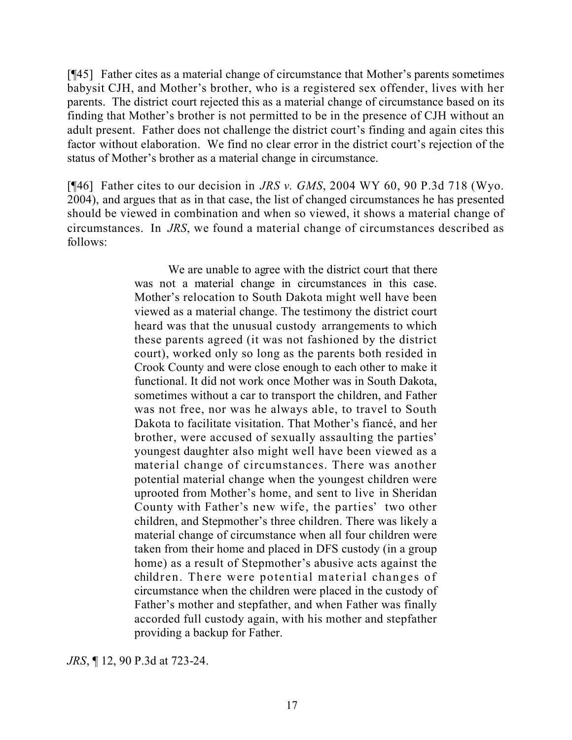[¶45] Father cites as a material change of circumstance that Mother's parents sometimes babysit CJH, and Mother's brother, who is a registered sex offender, lives with her parents. The district court rejected this as a material change of circumstance based on its finding that Mother's brother is not permitted to be in the presence of CJH without an adult present. Father does not challenge the district court's finding and again cites this factor without elaboration. We find no clear error in the district court's rejection of the status of Mother's brother as a material change in circumstance.

[¶46] Father cites to our decision in *JRS v. GMS*, 2004 WY 60, 90 P.3d 718 (Wyo. 2004), and argues that as in that case, the list of changed circumstances he has presented should be viewed in combination and when so viewed, it shows a material change of circumstances. In *JRS*, we found a material change of circumstances described as follows:

> We are unable to agree with the district court that there was not a material change in circumstances in this case. Mother's relocation to South Dakota might well have been viewed as a material change. The testimony the district court heard was that the unusual custody arrangements to which these parents agreed (it was not fashioned by the district court), worked only so long as the parents both resided in Crook County and were close enough to each other to make it functional. It did not work once Mother was in South Dakota, sometimes without a car to transport the children, and Father was not free, nor was he always able, to travel to South Dakota to facilitate visitation. That Mother's fiancé, and her brother, were accused of sexually assaulting the parties' youngest daughter also might well have been viewed as a material change of circumstances. There was another potential material change when the youngest children were uprooted from Mother's home, and sent to live in Sheridan County with Father's new wife, the parties' two other children, and Stepmother's three children. There was likely a material change of circumstance when all four children were taken from their home and placed in DFS custody (in a group home) as a result of Stepmother's abusive acts against the children. There were potential material changes of circumstance when the children were placed in the custody of Father's mother and stepfather, and when Father was finally accorded full custody again, with his mother and stepfather providing a backup for Father.

*JRS*, ¶ 12, 90 P.3d at 723-24.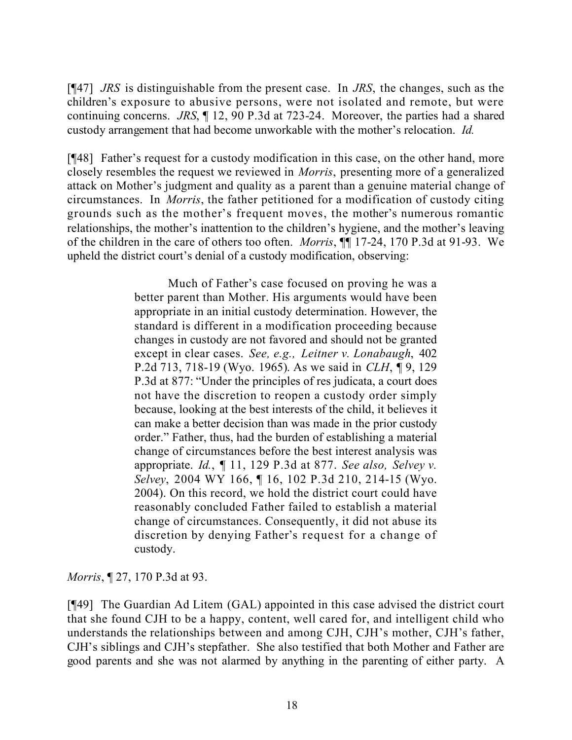[¶47] *JRS* is distinguishable from the present case. In *JRS*, the changes, such as the children's exposure to abusive persons, were not isolated and remote, but were continuing concerns. *JRS*, ¶ 12, 90 P.3d at 723-24. Moreover, the parties had a shared custody arrangement that had become unworkable with the mother's relocation. *Id.*

[¶48] Father's request for a custody modification in this case, on the other hand, more closely resembles the request we reviewed in *Morris*, presenting more of a generalized attack on Mother's judgment and quality as a parent than a genuine material change of circumstances. In *Morris*, the father petitioned for a modification of custody citing grounds such as the mother's frequent moves, the mother's numerous romantic relationships, the mother's inattention to the children's hygiene, and the mother's leaving of the children in the care of others too often. *Morris*, ¶¶ 17-24, 170 P.3d at 91-93. We upheld the district court's denial of a custody modification, observing:

> Much of Father's case focused on proving he was a better parent than Mother. His arguments would have been appropriate in an initial custody determination. However, the standard is different in a modification proceeding because changes in custody are not favored and should not be granted except in clear cases. *See, e.g., Leitner v. Lonabaugh*, 402 P.2d 713, 718-19 (Wyo. 1965). As we said in *CLH*, ¶ 9, 129 P.3d at 877: "Under the principles of res judicata, a court does not have the discretion to reopen a custody order simply because, looking at the best interests of the child, it believes it can make a better decision than was made in the prior custody order." Father, thus, had the burden of establishing a material change of circumstances before the best interest analysis was appropriate. *Id.*, ¶ 11, 129 P.3d at 877. *See also, Selvey v. Selvey*, 2004 WY 166, ¶ 16, 102 P.3d 210, 214-15 (Wyo. 2004). On this record, we hold the district court could have reasonably concluded Father failed to establish a material change of circumstances. Consequently, it did not abuse its discretion by denying Father's request for a change of custody.

*Morris*, ¶ 27, 170 P.3d at 93.

[¶49] The Guardian Ad Litem (GAL) appointed in this case advised the district court that she found CJH to be a happy, content, well cared for, and intelligent child who understands the relationships between and among CJH, CJH's mother, CJH's father, CJH's siblings and CJH's stepfather. She also testified that both Mother and Father are good parents and she was not alarmed by anything in the parenting of either party. A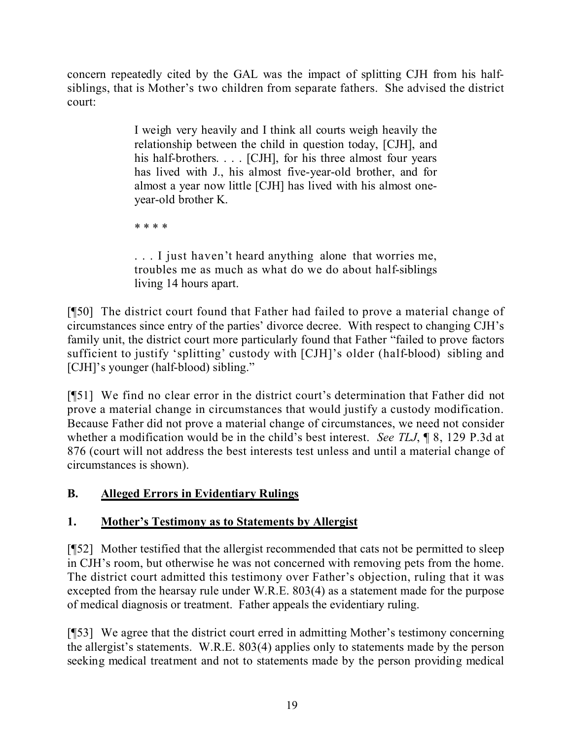concern repeatedly cited by the GAL was the impact of splitting CJH from his halfsiblings, that is Mother's two children from separate fathers. She advised the district court:

> I weigh very heavily and I think all courts weigh heavily the relationship between the child in question today, [CJH], and his half-brothers. . . . [CJH], for his three almost four years has lived with J., his almost five-year-old brother, and for almost a year now little [CJH] has lived with his almost oneyear-old brother K.

\* \* \* \*

. . . I just haven't heard anything alone that worries me, troubles me as much as what do we do about half-siblings living 14 hours apart.

[¶50] The district court found that Father had failed to prove a material change of circumstances since entry of the parties' divorce decree. With respect to changing CJH's family unit, the district court more particularly found that Father "failed to prove factors sufficient to justify 'splitting' custody with [CJH]'s older (half-blood) sibling and [CJH]'s younger (half-blood) sibling."

[¶51] We find no clear error in the district court's determination that Father did not prove a material change in circumstances that would justify a custody modification. Because Father did not prove a material change of circumstances, we need not consider whether a modification would be in the child's best interest. *See TLJ*, ¶ 8, 129 P.3d at 876 (court will not address the best interests test unless and until a material change of circumstances is shown).

## **B. Alleged Errors in Evidentiary Rulings**

## **1. Mother's Testimony as to Statements by Allergist**

[¶52] Mother testified that the allergist recommended that cats not be permitted to sleep in CJH's room, but otherwise he was not concerned with removing pets from the home. The district court admitted this testimony over Father's objection, ruling that it was excepted from the hearsay rule under W.R.E. 803(4) as a statement made for the purpose of medical diagnosis or treatment. Father appeals the evidentiary ruling.

[¶53] We agree that the district court erred in admitting Mother's testimony concerning the allergist's statements. W.R.E. 803(4) applies only to statements made by the person seeking medical treatment and not to statements made by the person providing medical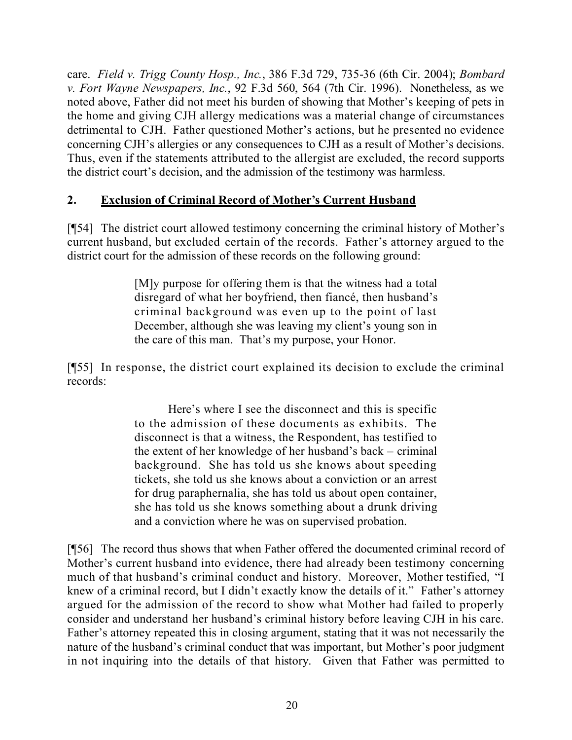care. *Field v. Trigg County Hosp., Inc.*, 386 F.3d 729, 735-36 (6th Cir. 2004); *Bombard v. Fort Wayne Newspapers, Inc.*, 92 F.3d 560, 564 (7th Cir. 1996). Nonetheless, as we noted above, Father did not meet his burden of showing that Mother's keeping of pets in the home and giving CJH allergy medications was a material change of circumstances detrimental to CJH. Father questioned Mother's actions, but he presented no evidence concerning CJH's allergies or any consequences to CJH as a result of Mother's decisions. Thus, even if the statements attributed to the allergist are excluded, the record supports the district court's decision, and the admission of the testimony was harmless.

### **2. Exclusion of Criminal Record of Mother's Current Husband**

[¶54] The district court allowed testimony concerning the criminal history of Mother's current husband, but excluded certain of the records. Father's attorney argued to the district court for the admission of these records on the following ground:

> [M]y purpose for offering them is that the witness had a total disregard of what her boyfriend, then fiancé, then husband's criminal background was even up to the point of last December, although she was leaving my client's young son in the care of this man. That's my purpose, your Honor.

[¶55] In response, the district court explained its decision to exclude the criminal records:

> Here's where I see the disconnect and this is specific to the admission of these documents as exhibits. The disconnect is that a witness, the Respondent, has testified to the extent of her knowledge of her husband's back – criminal background. She has told us she knows about speeding tickets, she told us she knows about a conviction or an arrest for drug paraphernalia, she has told us about open container, she has told us she knows something about a drunk driving and a conviction where he was on supervised probation.

[¶56] The record thus shows that when Father offered the documented criminal record of Mother's current husband into evidence, there had already been testimony concerning much of that husband's criminal conduct and history. Moreover, Mother testified, "I knew of a criminal record, but I didn't exactly know the details of it." Father's attorney argued for the admission of the record to show what Mother had failed to properly consider and understand her husband's criminal history before leaving CJH in his care. Father's attorney repeated this in closing argument, stating that it was not necessarily the nature of the husband's criminal conduct that was important, but Mother's poor judgment in not inquiring into the details of that history. Given that Father was permitted to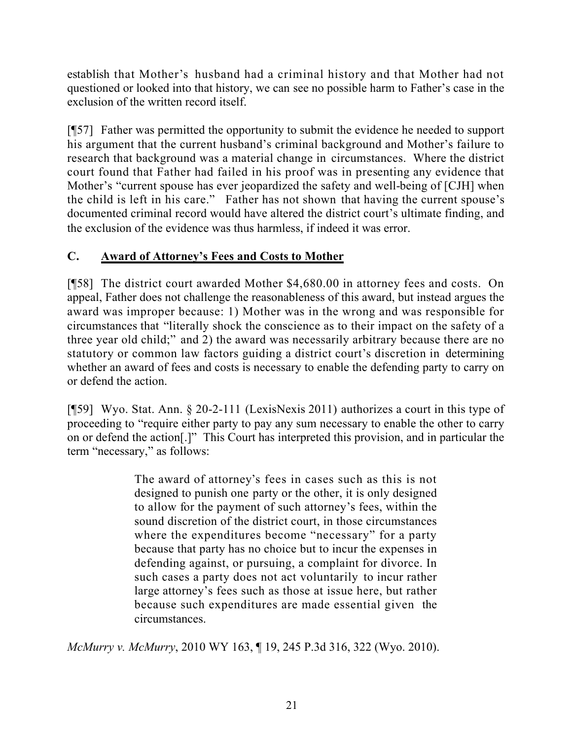establish that Mother's husband had a criminal history and that Mother had not questioned or looked into that history, we can see no possible harm to Father's case in the exclusion of the written record itself.

[¶57] Father was permitted the opportunity to submit the evidence he needed to support his argument that the current husband's criminal background and Mother's failure to research that background was a material change in circumstances. Where the district court found that Father had failed in his proof was in presenting any evidence that Mother's "current spouse has ever jeopardized the safety and well-being of [CJH] when the child is left in his care." Father has not shown that having the current spouse's documented criminal record would have altered the district court's ultimate finding, and the exclusion of the evidence was thus harmless, if indeed it was error.

### **C. Award of Attorney's Fees and Costs to Mother**

[¶58] The district court awarded Mother \$4,680.00 in attorney fees and costs. On appeal, Father does not challenge the reasonableness of this award, but instead argues the award was improper because: 1) Mother was in the wrong and was responsible for circumstances that "literally shock the conscience as to their impact on the safety of a three year old child;" and 2) the award was necessarily arbitrary because there are no statutory or common law factors guiding a district court's discretion in determining whether an award of fees and costs is necessary to enable the defending party to carry on or defend the action.

[¶59] Wyo. Stat. Ann. § 20-2-111 (LexisNexis 2011) authorizes a court in this type of proceeding to "require either party to pay any sum necessary to enable the other to carry on or defend the action[.]" This Court has interpreted this provision, and in particular the term "necessary," as follows:

> The award of attorney's fees in cases such as this is not designed to punish one party or the other, it is only designed to allow for the payment of such attorney's fees, within the sound discretion of the district court, in those circumstances where the expenditures become "necessary" for a party because that party has no choice but to incur the expenses in defending against, or pursuing, a complaint for divorce. In such cases a party does not act voluntarily to incur rather large attorney's fees such as those at issue here, but rather because such expenditures are made essential given the circumstances.

*McMurry v. McMurry*, 2010 WY 163, ¶ 19, 245 P.3d 316, 322 (Wyo. 2010).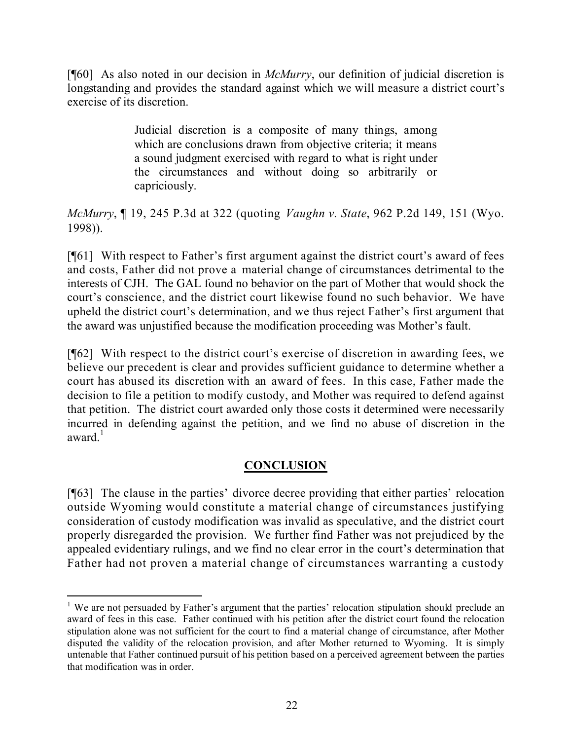[¶60] As also noted in our decision in *McMurry*, our definition of judicial discretion is longstanding and provides the standard against which we will measure a district court's exercise of its discretion.

> Judicial discretion is a composite of many things, among which are conclusions drawn from objective criteria; it means a sound judgment exercised with regard to what is right under the circumstances and without doing so arbitrarily or capriciously.

*McMurry*, ¶ 19, 245 P.3d at 322 (quoting *Vaughn v. State*, 962 P.2d 149, 151 (Wyo. 1998)).

[¶61] With respect to Father's first argument against the district court's award of fees and costs, Father did not prove a material change of circumstances detrimental to the interests of CJH. The GAL found no behavior on the part of Mother that would shock the court's conscience, and the district court likewise found no such behavior. We have upheld the district court's determination, and we thus reject Father's first argument that the award was unjustified because the modification proceeding was Mother's fault.

[¶62] With respect to the district court's exercise of discretion in awarding fees, we believe our precedent is clear and provides sufficient guidance to determine whether a court has abused its discretion with an award of fees. In this case, Father made the decision to file a petition to modify custody, and Mother was required to defend against that petition. The district court awarded only those costs it determined were necessarily incurred in defending against the petition, and we find no abuse of discretion in the award $^1$ 

### **CONCLUSION**

[¶63] The clause in the parties' divorce decree providing that either parties' relocation outside Wyoming would constitute a material change of circumstances justifying consideration of custody modification was invalid as speculative, and the district court properly disregarded the provision. We further find Father was not prejudiced by the appealed evidentiary rulings, and we find no clear error in the court's determination that Father had not proven a material change of circumstances warranting a custody

<sup>&</sup>lt;sup>1</sup> We are not persuaded by Father's argument that the parties' relocation stipulation should preclude an award of fees in this case. Father continued with his petition after the district court found the relocation stipulation alone was not sufficient for the court to find a material change of circumstance, after Mother disputed the validity of the relocation provision, and after Mother returned to Wyoming. It is simply untenable that Father continued pursuit of his petition based on a perceived agreement between the parties that modification was in order.